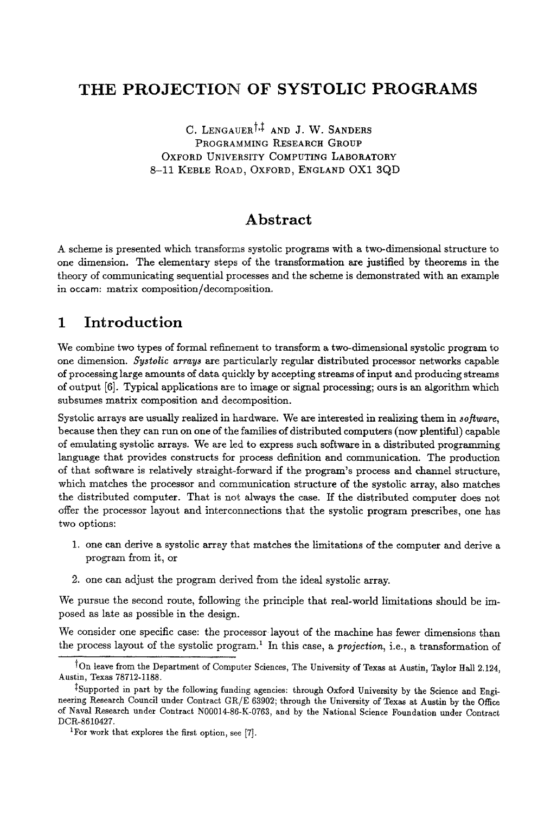# **THE PROJECTION OF SYSTOLIC PROGRAMS**

C. LENGAUER<sup>†,‡</sup> AND J. W. SANDERS PROGRAMMING RESEARCH GROUP OXFORD UNIVERSITY COMPUTING LABORATORY 8-11 KEBLE ROAD, OXFORD, ENGLAND OXl 3QD

# **Abstract**

A scheme is presented which transforms systolic programs with a two-dimensional structure to one dimension. The elementary steps of the transformation are justified by theorems in the theory of communicating sequential processes and the scheme is demonstrated with an example in occam: matrix composition/decomposition.

# **1 Introduction**

We combine two types of formal refinement to transform a two-dimensional systolic program to one dimension. *Systolic array~ are* particularly regular distributed processor networks capable of processing large amounts of data quickly by accepting streams of input and producing streams of output [6]. Typical applications are to image or signal processing; ours is an algorithm which subsumes matrix composition and decomposition.

Systolic arrays are usually realized in hardware. We are interested in realizing them in *8oftware,*  because then they can run on one of the families of distributed computers (now plentiful) capable of emulating systolic arrays. We are led to express such software in a distributed programming language that provides constructs for process definition and communication. The production of that software is relatively straight-forward if the program's process and channel structure, which matches the processor and communication structure of the systolic array, also matches the distributed computer. That is not always the case. If the distributed computer does not offer the processor layout and interconnections that the systolic program prescribes, one has two options:

- 1. one can derive a systolic array that matches the limitations of the computer and derive a program from it, or
- 2. one can adjust the program derived from the ideal systolic array.

We pursue the second route, following the principle that real-world limitations should be imposed as late as possible in the design.

We consider one specific case: the processor layout of the machine has fewer dimensions than the process layout of the systolic program. I In this case, a *projection,* i.e., a transformation of

<sup>&</sup>lt;sup>†</sup>On leave from the Department of Computer Sciences, The University of Texas at Austin, Taylor Hall 2.124, Austin, Texas 78712-1188.

<sup>&</sup>lt;sup>‡</sup>Supported in part by the following funding agencies: through Oxford University by the Science and Engineering Research Council under Contract *GR/E* 63902; through the University of Texas at Austin by the Office of Naval Research under Contract N00014-86-K-0763, and by the National Science Foundation under Contract DCR-8610427.

<sup>&</sup>lt;sup>1</sup>For work that explores the first option, see [7].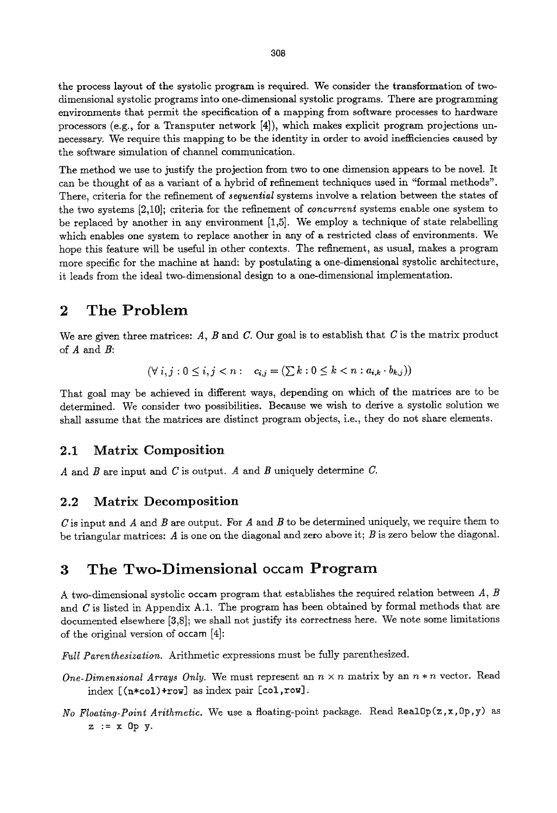the process layout of the systolic program is required. We consider the transformation of twodimensional systolic programs into one-dimensional systolic programs. There are programming environments that permit the specification of a mapping from software processes to hardware processors (e.g., for a Transputer network [4]), which makes explicit program projections unnecessary. We require this mapping to be the identity in order to avoid inefficiencies caused by the software simulation of channel communication.

The method we use to justify the projection from two to one dimension appears to be novel. It can be thought of as a variant of a hybrid of refinement techniques used in "formal methods". There, criteria for the refinement of *sequential* systems involve a relation between the states of the two systems [2,10]; criteria for the refinement of *concurrent* systems enable one system to be replaced by another in any environment [1,5]. We employ a technique of state relabelling which enables one system to replace another in any of a restricted class of environments. We hope this feature will be useful in other contexts. The refinement, as usual, makes a program more specific for the machine at hand: by postulating a one-dimensional systolic architecture, it leads from the ideal two-dimensional design to a one-dimensional implementation.

## 2 The Problem

We are given three matrices:  $A$ ,  $B$  and  $C$ . Our goal is to establish that  $C$  is the matrix product of  $A$  and  $B$ :

$$
(\forall i, j : 0 \leq i, j < n : c_{i,j} = (\sum k : 0 \leq k < n : a_{i,k} \cdot b_{k,j}))
$$

That goal may be achieved in different ways, depending on which of the matrices are to be determined. We consider two possibilities. Because we wish to derive a systolic solution we shall assume that the matrices are distinct program objects, i.e., they do not share elements.

### **2.1 Matrix Composition**

A and B are input and C is output. A and B uniquely determine C.

### **2.2 Matrix Decomposition**

C is input and A and B are output. For A and B to be determined uniquely, we require them to be triangular matrices: A is one on the diagonal and zero above it;  $B$  is zero below the diagonal.

## **3 The Two-Dimensional occam Program**

A two-dimensional systolic occam program that establishes the required relation between  $A, B$ and  $C$  is listed in Appendix A.1. The program has been obtained by formal methods that are documented elsewhere [3,8]; we shall not justify its correctness here. We note some limitations of the original version of occam  $[4]$ :

Full Parenthesization. Arithmetic expressions must be fully parenthesized.

- *One-Dimensional Arrays Only.* We must represent an  $n \times n$  matrix by an  $n * n$  vector. Read index  $[(n * col) + row]$  as index pair  $[col, row]$ .
- *No Floating-Point Arithmetic.* We use a floating-point package. Read RealOp(z,x,Op,y) as  $z := x$  Op y.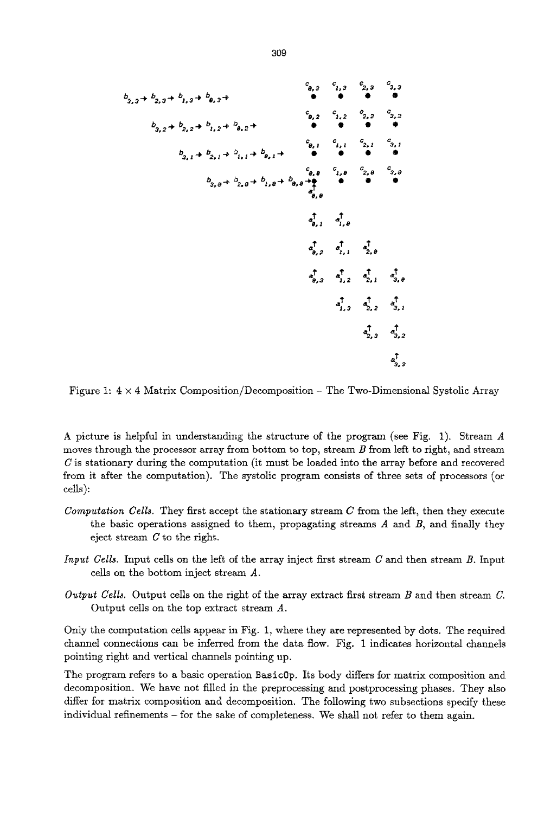$$
b_{3,3} + b_{2,3} + b_{1,3} + b_{2,3} + \cdots
$$
\n
$$
b_{3,2} + b_{2,2} + b_{1,2} + b_{0,2} + \cdots
$$
\n
$$
b_{3,1} + b_{2,1} + b_{1,1} + b_{0,1} + \cdots
$$
\n
$$
c_{3,0} + c_{3,0} + c_{3,1} + \cdots
$$
\n
$$
c_{3,1} + c_{3,1} + c_{3,1} + \cdots
$$
\n
$$
c_{3,2} + c_{3,2} + c_{3,1} + \cdots
$$
\n
$$
c_{3,3} + c_{3,2} + c_{3,2} + \cdots
$$
\n
$$
c_{3,4} + c_{3,5} + c_{3,6} + \cdots
$$
\n
$$
c_{3,5} + c_{3,6} + c_{3,6} + \cdots
$$
\n
$$
c_{3,6} + c_{3,6} + \cdots
$$
\n
$$
c_{3,7} + c_{3,8} + \cdots
$$
\n
$$
c_{3,8} + c_{3,9} + \cdots
$$
\n
$$
c_{3,9} + c_{3,9} + \cdots
$$
\n
$$
c_{3,1} + c_{3,1} + \cdots
$$
\n
$$
c_{3,2} + c_{3,9} + \cdots
$$
\n
$$
c_{3,1} + c_{3,9} + \cdots
$$
\n
$$
c_{3,2} + c_{3,9} + \cdots
$$
\n
$$
c_{3,1} + c_{3,1} + \cdots
$$
\n
$$
c_{3,2} + c_{3,1} + \cdots
$$
\n
$$
c_{3,2} + c_{3,1} + \cdots
$$
\n
$$
c_{3,2} + c_{3,1} + \cdots
$$
\n
$$
c_{3,2} + c_{3,2} + \cdots
$$
\n
$$
c_{3,3} + c_{3,2} + \cdots
$$
\n
$$
c_{3,4} + c_{3,2} + \cdots
$$
\n
$$
c_{3,4} + c_{3,2} + \cdots
$$
\n

Figure 1:4  $\times$  4 Matrix Composition/Decomposition - The Two-Dimensional Systolic Array

A picture is helpful in understanding the structure of the program (see Fig. 1). Stream A moves through the processor array from bottom to top, stream  $B$  from left to right, and stream  $C$  is stationary during the computation (it must be loaded into the array before and recovered from it after the computation). The systolic program consists of three sets of processors (or cells):

- *Computation Cells.* They first accept the stationary stream C from the left, then they execute the basic operations assigned to them, propagating streams  $A$  and  $B$ , and finally they eject stream C to the right.
- *Input Cells.* Input cells on the left of the array inject first stream C and then stream B. Input cells on the bottom inject stream A.
- *Output Cells.* Output cells on the right of the array extract first stream B and then stream C. Output cells on the top extract stream A.

Only the computation cells appear in Fig. 1, where they are represented by dots. The required channel connections can be inferred from the data flow. Fig. 1 indicates horizontal channels pointing right and vertical channels pointing up.

The program refers to a basic operation Basic0p. Its body differs for matrix composition and decomposition. We have not filled in the preprocessing and postprocessing phases. They also differ for matrix composition and decomposition. The following two subsections specify these individual refinements - for the sake of completeness. We shall not refer to them again.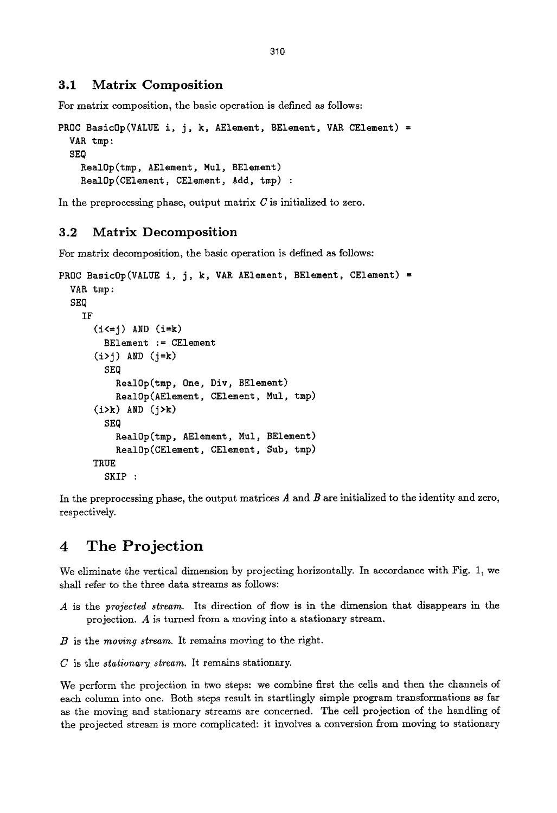## **3.1 Matrix Composition**

For matrix composition, the basic operation is defined as follows:

```
PROC BasicOp(VALUE i, j, k, AElement, BElement, VAR CElement) =
  VAK tmp : 
  SEQ 
    Keal0p(tmp, AElement, Mul, BElement) 
    Keal0p(CElement, CElement, Add, tmp) :
```
In the preprocessing phase, output matrix  $C$  is initialized to zero.

### **3.2 Matrix Decomposition**

For matrix decomposition, the basic operation is defined as follows:

```
PROC BasicOp(VALUE i, j, k, VAR AElement, BElement, CElement) =
  VAR tmp:
  SEQ 
    IF 
      (i \leq j) AND (i=k)BElement := CElement 
      (i>j) AND (j=k)SEQ 
           RealOp(tmp, One, Div, BElement)
           RealOp(AElement, CElement, Mul, tmp)
      (i>k) AND (j>k) 
        SEQ 
           Keal0p(tmp, AElement, Mul, BElement) 
           KealOp(CElement, CElement, Sub, tmp) 
      TRUE 
        SKIP :
```
In the preprocessing phase, the output matrices  $A$  and  $B$  are initialized to the identity and zero, respectively.

# **4 The Projection**

We eliminate the vertical dimension by projecting horizontally. In accordance with Fig. 1, we shall refer to the three data streams as follows:

- A is the *projected stream.* Its direction of flow is in the dimension that disappears in the projection. A is turned from a moving into a stationary stream.
- B is the *moving stream.* It remains moving to the right.

C is the *stationary stream.* It remains stationary.

We perform the projection in two steps: we combine first the cells and then the channels of each column into one. Both steps result in startlingly simple program transformations as far as the moving and stationary streams are concerned. The cell projection of the handling of the projected stream is more complicated: it involves a conversion from moving to stationary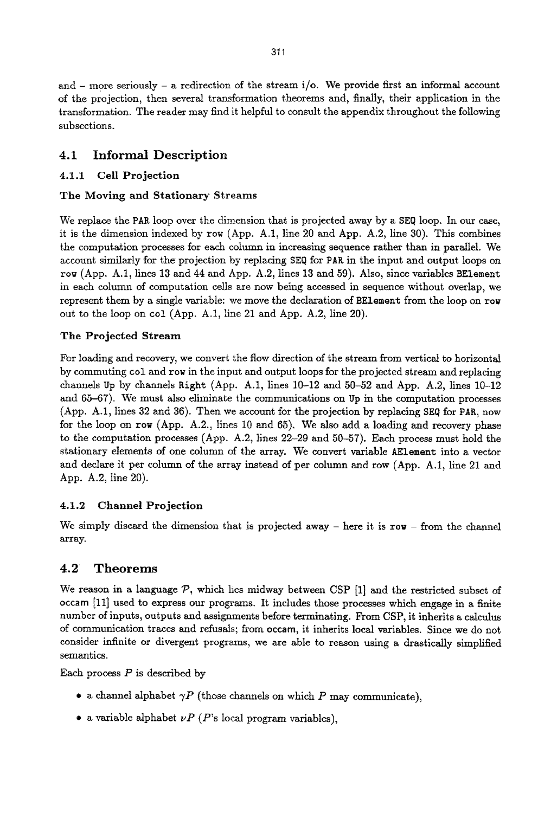and  $-$  more seriously  $-$  a redirection of the stream i/o. We provide first an informal account of the projection, then several transformation theorems and, finally, their application in the transformation. The reader may find it helpful to consult the appendix throughout the following subsections.

## **4.1 Informal Description**

## **4.1.1 Cell Projection**

### The Moving and Stationary Streams

We replace the PAR loop over the dimension that is projected away by a SEQ loop. In our case, it is the dimension indexed by row (App. A.1, line 20 and App. A.2, line 30). This combines the computation processes for each column in increasing sequence rather than in parallel. We account similarly for the projection by replacing SEQ for PAR in the input and output loops on row (App. A.1, lines 13 and 44 and App. A.2, lines 13 and 59). Also, since variables BEtement in each column of computation cells are now being accessed in sequence without overlap, we represent them by a single variable: we move the declaration of BEleraent from the loop on row out to the loop on col (App. A.1, line 21 and App. A.2, line 20).

## **The Projected Stream**

For loading and recovery, we convert the flow direction of the stream from vertical to horizontal by commuting col and row in the input and output loops for the projected stream and replacing channels Up by channels Right (App. A.1, lines  $10-12$  and  $50-52$  and App. A.2, lines  $10-12$ and 65-67). We must also eliminate the communications on Up in the computation processes (App. A.1, lines 32 and 36). Then we account for the projection by replacing SEQ for PAR, now for the loop on row (App. A.2., lines 10 and 65). We also add a loading and recovery phase to the computation processes (App. A.2, lines 22-29 and 50-57). Each process must hold the stationary elements of one column of the array. We convert variable AElement into a vector and declare it per column of the array instead of per column and row (App. A.1, line 21 and App. A.2, line 20).

## **4.1.2 Channel Projection**

We simply discard the dimension that is projected away  $-$  here it is row  $-$  from the channel array.

## **4.2 Theorems**

We reason in a language  $P$ , which lies midway between CSP [1] and the restricted subset of occam [11] used to express our programs. It includes those processes which engage in a finite number of inputs, outputs and assignments before terminating. From CSP, it inherits a calculus of communication traces and refusals; from occam, it inherits local variables. Since we do not consider infinite or divergent programs, we are able to reason using a drastically simplified semantics.

Each process  $P$  is described by

- a channel alphabet  $\gamma P$  (those channels on which P may communicate),
- a variable alphabet  $\nu P$  ( $P$ 's local program variables),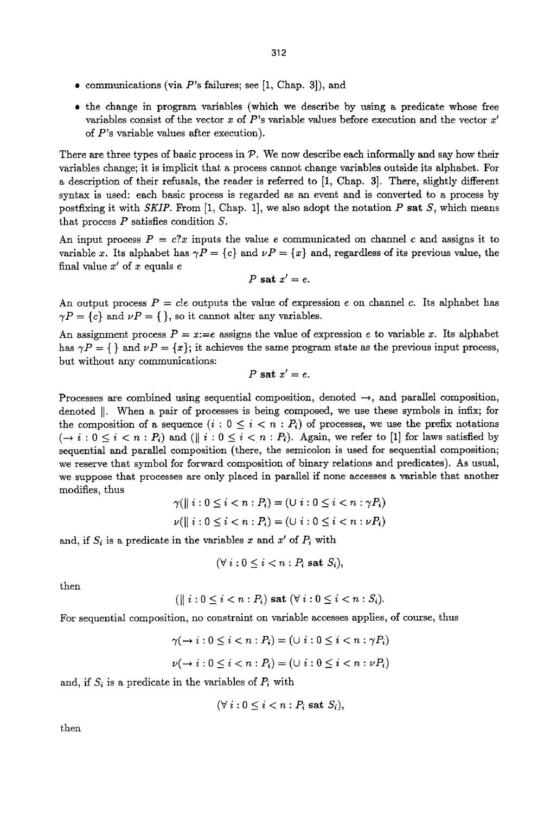- communications (via  $P$ 's failures; see [1, Chap. 3]), and
- the change in program variables (which we describe by using a predicate whose free variables consist of the vector x of  $P$ 's variable values before execution and the vector  $x'$ of P's variable values after execution).

There are three types of basic process in  $\mathcal{P}$ . We now describe each informally and say how their variables change; it is implicit that a process cannot change variables outside its alphabet. For a description of their refusals, the reader is referred to [1, Chap. 3]. There, slightly different syntax is used: each basic process is regarded as an event and is converted to a process by postfixing it with *SKIP*. From [1, Chap. 1], we also adopt the notation P sat *S*, which means that process  $P$  satisfies condition  $S$ .

An input process  $P = c^2x$  inputs the value e communicated on channel c and assigns it to variable x. Its alphabet has  $\gamma P = \{c\}$  and  $\nu P = \{x\}$  and, regardless of its previous value, the final value  $x'$  of  $x$  equals  $e$ 

$$
P \mathbf{sat} x'=e.
$$

An output process  $P = c!e$  outputs the value of expression e on channel c. Its alphabet has  $\gamma P = \{c\}$  and  $\nu P = \{\},$  so it cannot alter any variables.

An assignment process  $P = x == e$  assigns the value of expression e to variable x. Its alphabet has  $\gamma P = \{\}$  and  $\nu P = \{x\}$ ; it achieves the same program state as the previous input process, but without any communications:

$$
P \text{ sat } x' = e.
$$

Processes are combined using sequential composition, denoted  $\rightarrow$ , and parallel composition, denoted  $\parallel$ . When a pair of processes is being composed, we use these symbols in infix; for the composition of a sequence  $(i : 0 \le i < n : P_i)$  of processes, we use the prefix notations  $(-i : 0 \le i < n : P_i)$  and  $(\parallel i : 0 \le i < n : P_i)$ . Again, we refer to [1] for laws satisfied by sequential and parallel composition (there, the semicolon is used for sequential composition; we reserve that symbol for forward composition of binary relations and predicates). As usual, we suppose that processes are only placed in parallel if none accesses a variable that another modifies, thus

$$
\gamma(\| i: 0 \le i < n: P_i) = (\cup i: 0 \le i < n: \gamma P_i)
$$
\n
$$
\nu(\| i: 0 \le i < n: P_i) = (\cup i: 0 \le i < n: \nu P_i)
$$

and, if  $S_i$  is a predicate in the variables x and  $x'$  of  $P_i$  with

$$
(\forall i: 0 \leq i < n: P_i \text{ sat } S_i),
$$

then

$$
(\parallel i: 0 \leq i < n: P_i) \text{ sat } (\forall i: 0 \leq i < n: S_i).
$$

For sequential composition, no constraint on variable accesses applies, of course, thus

$$
\gamma(\rightarrow i:0\leq i < n:P_i) = (\cup i:0\leq i < n:\gamma P_i)
$$
\n
$$
\nu(\rightarrow i:0\leq i < n:P_i) = (\cup i:0\leq i < n:\nu P_i)
$$

and, if  $S_i$  is a predicate in the variables of  $P_i$  with

$$
(\forall i: 0 \leq i < n: P_i \text{ sat } S_i),
$$

then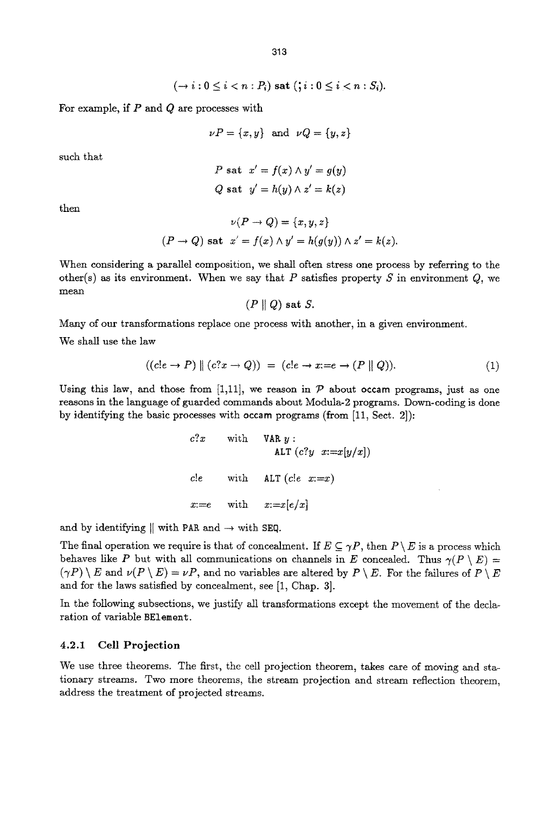$$
(\rightarrow i: 0 \leq i < n: P_i) \text{ sat } (\mathbf{y} : 0 \leq i < n: S_i).
$$

For example, if  $P$  and  $Q$  are processes with

$$
\nu P = \{x, y\} \text{ and } \nu Q = \{y, z\}
$$

such that

$$
P \text{ sat } x' = f(x) \land y' = g(y)
$$
  

$$
Q \text{ sat } y' = h(y) \land z' = k(z)
$$

then

$$
\nu(P \to Q) = \{x, y, z\}
$$
  
(P \to Q) sat  $x' = f(x) \wedge y' = h(g(y)) \wedge z' = k(z).$ 

When considering a parallel composition, we shall often stress one process by referring to the other(s) as its environment. When we say that P satisfies property S in environment  $Q$ , we mean

$$
(P\parallel Q) \text{ sat }S.
$$

Many of our transformations replace one process with another, in a given environment.

We shall use the law

$$
((c!e \to P) \parallel (c?x \to Q)) = (c!e \to x:=e \to (P \parallel Q)). \tag{1}
$$

Using this law, and those from [1,11], we reason in  $P$  about occam programs, just as one reasons in the language of guarded commands about Modula-2 programs. Down-coding is done by identifying the basic processes with occam programs (from [11, Sect, 2]):

```
c?x with VARy : 
              ALT (c?y \ x:=x[y/x])c!e with ALT (c!e \ x:=x)x:=e with x:=x[e/x]
```
and by identifying  $\parallel$  with PAR and  $\rightarrow$  with SEQ.

The final operation we require is that of concealment. If  $E \subseteq \gamma P$ , then  $P \setminus E$  is a process which behaves like P but with all communications on channels in E concealed. Thus  $\gamma(P \setminus E)$  =  $(\gamma P) \setminus E$  and  $\nu(P \setminus E) = \nu P$ , and no variables are altered by  $P \setminus E$ . For the failures of  $P \setminus E$ and for the laws satisfied by concealment, see [1, Chap. 3].

In the following subsections, we justify all transformations except the movement of the declaration of variable BElement.

#### **4.2.1 Cell Projection**

We use three theorems. The first, the cell projection theorem, takes care of moving and stationary streams. Two more theorems, the stream projection and stream reflection theorem, address the treatment of projected streams.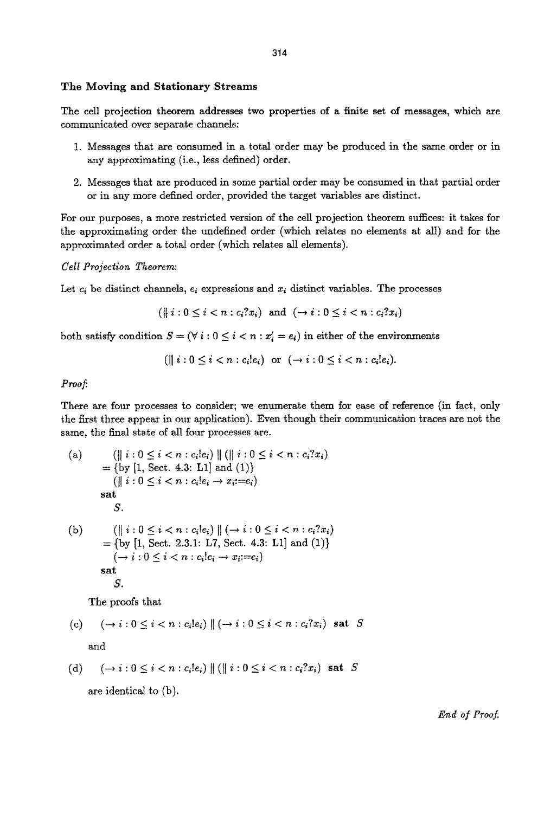#### **The Moving and Stationary Streams**

The cell projection **theorem addresses** two properties of a finite set of messages, which are communicated over separate channels:

- 1. Messages that axe consumed in a total order may be produced in the same order or in any approximating (i.e., less defined) order.
- 2. Messages that are produced in some partial order may be consumed in that partial order or in any more defined order, provided the target variables are distinct.

For our purposes, a more restricted version of the cell projection theorem suffices: it takes for the approximating order the undefined order (which relates no elements at all) and for the approximated order a total order (which relates all elements).

#### *Cell Projection Theorem:*

Let  $c_i$  be distinct channels,  $e_i$  expressions and  $x_i$  distinct variables. The processes

$$
(\parallel i: 0 \leq i < n: c_i 2x_i) \text{ and } (\rightarrow i: 0 \leq i < n: c_i 2x_i)
$$

both satisfy condition  $S = (\forall i : 0 \leq i < n : x'_i = e_i)$  in either of the environments

$$
(\parallel i:0\leq i< n:c_i!e_i) \text{ or } (\rightarrow i:0\leq i< n:c_i!e_i).
$$

#### *Proof.*

There are four processes to consider; we enumerate them for ease of reference (in fact, only the first three appear in our application). Even though their communication traces are not the same, the final state of all four processes are.

\n- (a) 
$$
(\|\ i:0 \leq i < n : c_i|e_i) \|\ (\|\ i:0 \leq i < n : c_i?x_i)
$$
 = {by [1, Sect. 4.3: L1] and (1)}  $(\|\ i:0 \leq i < n : c_i|e_i \rightarrow x_i:=e_i)$
\n- sat  $S.$
\n- (b)  $(\|\ i:0 \leq i < n : c_i|e_i) \|\ (\rightarrow i:0 \leq i < n : c_i?x_i)$  = {by [1, Sect. 2.3.1: L7, Sect. 4.3: L1] and (1)}  $(\rightarrow i:0 \leq i < n : c_i|e_i \rightarrow x_i:=e_i)$
\n- sat  $S.$
\n

The proofs that

(c) 
$$
(\rightarrow i: 0 \leq i < n: c_i!e_i) \parallel (\rightarrow i: 0 \leq i < n: c_i?x_i)
$$
 sat  $S$ 

and

$$
\text{(d)} \qquad \qquad (\rightarrow i: 0 \leq i < n: c_i!e_i) \parallel (\parallel i: 0 \leq i < n: c_i?x_i) \text{ sat } S
$$

are identical to (b).

*End of Proof.*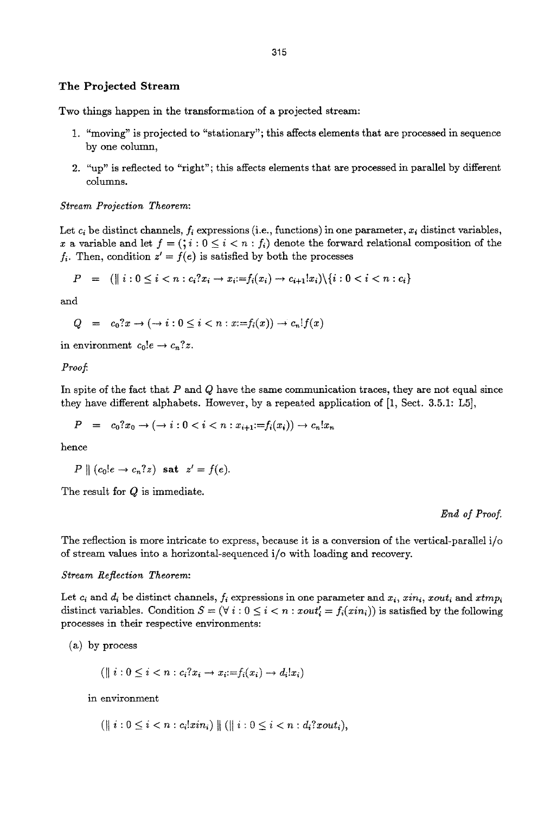#### The Projected Stream

Two things happen in the transformation of a projected stream:

- 1. "moving" is projected to "stationary"; this affects elements that are processed in sequence by one column,
- *2. "up"* is reflected to "right"; this affects elements that are processed in parallel by different columns.

*Stream Projection Theorem:* 

Let  $c_i$  be distinct channels,  $f_i$  expressions (i.e., functions) in one parameter,  $x_i$  distinct variables, x a variable and let  $f = (i : 0 \le i < n : f_i)$  denote the forward relational composition of the  $f_i$ . Then, condition  $z' = f(e)$  is satisfied by both the processes

$$
P = (\| i : 0 \le i < n : c_i?x_i \to x_i := f_i(x_i) \to c_{i+1}x_i) \setminus \{i : 0 < i < n : c_i\}
$$

and

 $Q = c_0?x \to (\to i: 0 \leq i < n: x:= f_i(x)) \to c_n! f(x)$ 

in environment  $c_0!e \rightarrow c_n?z$ .

*Proof.* 

In spite of the fact that  $P$  and  $Q$  have the same communication traces, they are not equal since they have different alphabets. However, by a repeated application of [1, Sect. 3.5.1: L5],

$$
P = c_0?x_0 \to (\to i: 0 < i < n: x_{i+1} := f_i(x_i)) \to c_n!x_n
$$

hence

$$
P \parallel (c_0!e \rightarrow c_n?z) \text{ sat } z' = f(e).
$$

The result for  $Q$  is immediate.

*End of Proof.* 

The reflection is more intricate to express, because it is a conversion of the vertical-parallel i/o of stream values into a horizontal-sequenced i/o with loading and recovery.

#### *Stream Reflection Theorem:*

Let  $c_i$  and  $d_i$  be distinct channels,  $f_i$  expressions in one parameter and  $x_i$ ,  $\dot{x}_i$ ,  $\dot{x}_i$ ,  $\dot{x}_i$  and  $xtmp_i$ distinct variables. Condition  $S = (\forall i : 0 \le i < n : xout_i' = f_i(xin_i))$  is satisfied by the following processes in their respective environments:

(a) by process

$$
(\parallel i: 0 \leq i < n: c_i?x_i \rightarrow x_i := f_i(x_i) \rightarrow d_i!x_i)
$$

in environment

 $(\text{if } i: 0 \leq i < n: c_i ! x in_i) \text{ if } (\text{if } i: 0 \leq i < n: d_i ? x out_i),$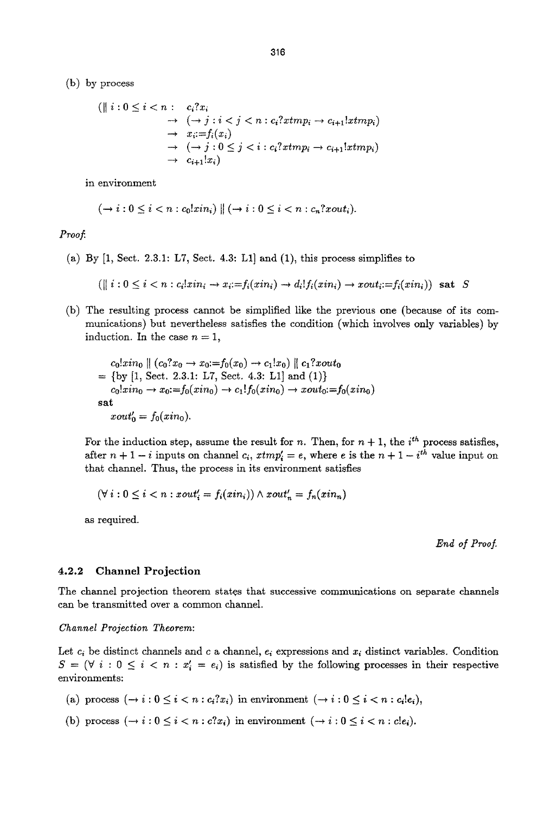(b) by process

$$
\begin{aligned} (\parallel i: 0 \leq i < n: \quad c_i?x_i \\ &\rightarrow (\rightarrow j: i < j < n: c_i?xtmp_i \rightarrow c_{i+1}!xtmp_i) \\ &\rightarrow x_i := f_i(x_i) \\ &\rightarrow (\rightarrow j: 0 \leq j < i: c_i?xtmp_i \rightarrow c_{i+1}!xtmp_i) \\ &\rightarrow c_{i+1}!x_i) \end{aligned}
$$

in environment

$$
(\rightarrow i:0\leq i
$$

*Proof.* 

(a) By [1, Sect. 2.3.1: L7, Sect. 4.3: L1] and (1), this process simplifies to

$$
(\parallel i: 0 \leq i < n: c_i! \, \text{zin}_i \rightarrow x_i := f_i(\, \text{zin}_i) \rightarrow d_i! \, f_i(\, \text{zin}_i) \rightarrow \text{zout}_i := f_i(\, \text{zin}_i) \, \text{sat } S
$$

(b) The resulting process cannot be simplified like the previous one (because of its communications) but nevertheless satisfies the condition (which involves only variables) by induction. In the case  $n = 1$ ,

$$
c_0! xin_0 || (c_0? x_0 \to x_0 := f_0(x_0) \to c_1! x_0) || c_1? xout_0
$$
  
= {by [1, Sect. 2.3.1: L7, Sect. 4.3: L1] and (1)}  

$$
c_0! xin_0 \to x_0 := f_0(xin_0) \to c_1! f_0(xin_0) \to xout_0 := f_0(xin_0)
$$
  
sat  

$$
xout'_0 = f_0(xin_0).
$$

For the induction step, assume the result for n. Then, for  $n + 1$ , the *i*<sup>th</sup> process satisfies, after  $n + 1 - i$  inputs on channel  $c_i$ ,  $x \text{trn} p'_i = e$ , where e is the  $n + 1 - i^{th}$  value input on that channel. Thus, the process in its environment satisfies

$$
(\forall i: 0 \leq i < n : xout_i' = f_i(xin_i)) \land xout_n' = f_n(xin_n)
$$

as required.

End of Proof.

#### **4.2.2 Channel Projection**

The channel projection theorem states that successive communications on separate channels can be transmitted over a common channel.

#### *Channel Projection Theorem:*

Let  $c_i$  be distinct channels and c a channel,  $e_i$  expressions and  $x_i$  distinct variables. Condition  $S = (\forall i : 0 \le i < n : x'_i = e_i)$  is satisfied by the following processes in their respective environments:

- (a) process  $(\rightarrow i : 0 \leq i < n : c_i?x_i)$  in environment  $(\rightarrow i : 0 \leq i < n : c_i!e_i)$ ,
- (b) process  $(-i : 0 \le i < n : c?x_i)$  in environment  $(-i : 0 \le i < n : c!e_i)$ .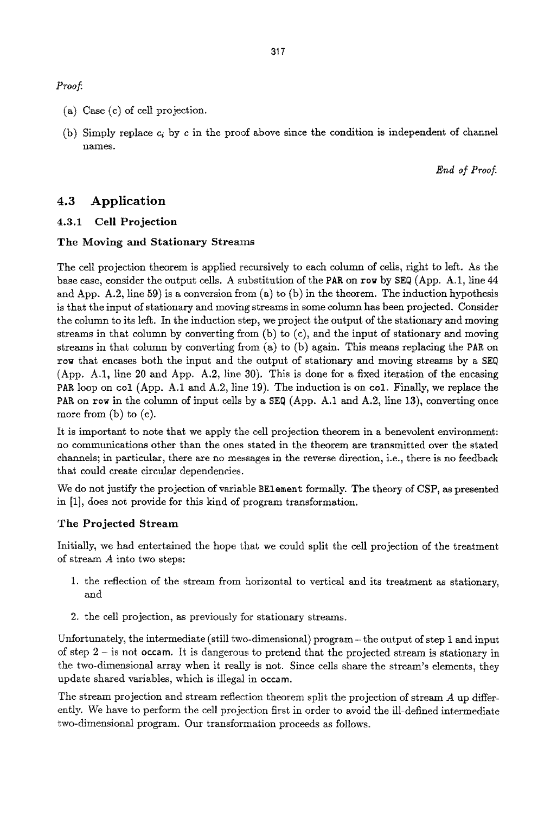*Proof.* 

- (a) Case (c) of cell projection.
- (b) Simply replace  $c_i$  by c in the proof above since the condition is independent of channel names.

End of Proof.

## **4.3 Application**

### **4.3.1 Cell Projection**

#### **The Moving and Stationary Streams**

The cell projection theorem is applied recursively to each column of cells, right to left. As the base case, consider the output cells. A substitution of the PAR on row by SEQ (App. A.1, line 44 and App. A.2, line 59) is a conversion from  $(a)$  to  $(b)$  in the theorem. The induction hypothesis is that the input of stationary and moving streams in some column has been projected. Consider the column to its left. In the induction step, we project the output of the stationary and moving streams in that column by converting from (b) to (c), and the input of stationary and moving streams in that column by converting from (a) to (b) again. This means replacing the PAR on row that encases both the input and the output of stationary and moving streams by a SEQ (App. A.1, line 20 and App. A.2, line 30). This is done for a fixed iteration of the encasing PAR loop on col (App. A.1 and A.2, line 19). The induction is on col. Finally, we replace the PAR on row in the column of input cells by a  $SEQ$  (App. A.1 and A.2, line 13), converting once more from  $(b)$  to  $(c)$ .

It is important to note that we apply the cell projection theorem in a benevolent environment: no communications other than the ones stated in the theorem are transmitted over the stated channels; in particular, there are no messages in the reverse direction, i.e., there is no feedback that could create circular dependencies.

We do not justify the projection of variable BElement formally. The theory of CSP, as presented in [1], does not provide for this kind of program transformation.

#### **The Projected Stream**

Initially, we had entertained the hope that we could split the cell projection of the treatment of stream A into two steps:

- 1. the reflection of the stream from horizontal to vertical and its treatment as stationary, and
- 2. the cell projection, as previously for stationary streams.

Unfortunately, the intermediate (still two-dimensional) program – the output of step 1 and input of step 2 - is not occam, tt is dangerous to pretend that the projected stream is stationary in the two-dimensional array when it really is not. Since cells share the stream's elements, they update shared variables, which is illegal in **occam.** 

The stream projection and stream reflection theorem split the projection of stream  $A$  up differently. We have to perform the cell projection first in order to avoid the ill-defined intermediate two-dimensional program. Our transformation proceeds as follows.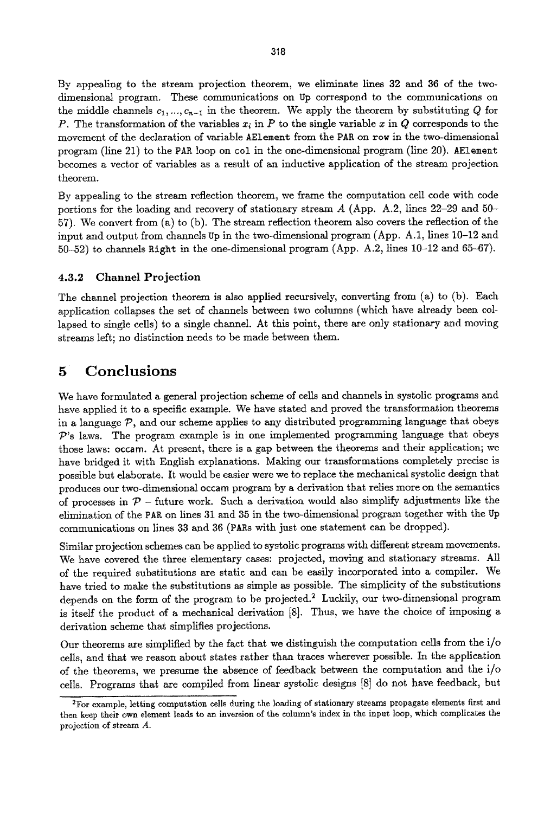By appealing to the stream projection theorem, we eliminate lines 32 and 36 of the twodimensional program. These communications on Up correspond to the communications on the middle channels  $c_1, ..., c_{n-1}$  in the theorem. We apply the theorem by substituting Q for P. The transformation of the variables  $x_i$  in P to the single variable x in Q corresponds to the movement of the declaration of variable AE1ement from the PAR on row in the two-dimensional program (line 21) to the PAl~ loop on col in the one-dimensional program (line 20). AElement becomes a vector of variables as a result of an inductive application of the stream projection theorem.

By appealing to the stream reflection theorem, we frame the computation cell code with code portions for the loading and recovery of stationary stream A (App. A.2, lines 22-29 and 50- 57). We convert from (a) to (b). The stream reflection theorem also covers the reflection of the input and output from channels Up in the two-dimensional program (App. A.1, lines 10-12 and 50-52) to channels Right in the one-dimensional program (App. A.2, lines 10-12 and 65-67).

### **4.3.2 Channel Projection**

The channel projection theorem is also applied recursively, converting from (a) to (b). Each application collapses the set of channels between two columns (which have already been collapsed to single cells) to a single channel. At this point, there are only stationary and moving streams left; no distinction needs to be made between them.

# **5 Conclusions**

We have formulated a general projection scheme of cells and channels in systolic programs and have applied it to a specific example. We have stated and proved the transformation theorems in a language  $P$ , and our scheme applies to any distributed programming language that obeys  $\mathcal{P}$ 's laws. The program example is in one implemented programming language that obeys those laws: occam. At present, there is a gap between the theorems and their application; we have bridged it with English explanations. Making our transformations completely precise is possible but elaborate. It would be easier were we to replace the mechanical systolic design that produces our two-dimensional occam program by a derivation that relies more on the semantics of processes in  $\mathcal{P}$  - future work. Such a derivation would also simplify adjustments like the elimination of the PAR on lines 31 and 35 in the two-dimensional program together with the Up communications on lines 33 and 36 (PARs with just one statement can be dropped).

Similar projection schemes can be applied to systolic programs with different stream movements. We have covered the three elementary cases: projected, moving and stationary streams. All of the required substitutions are static and can be easily incorporated into a compiler. We have tried to make the substitutions as simple as possible. The simplicity of the substitutions depends on the form of the program to be projected.<sup>2</sup> Luckily, our two-dimensional program is itself the product of a mechanical derivation [8]. Thus, we have the choice of imposing a derivation scheme that simplifies projections.

Our theorems axe simplified by the fact that we distinguish the computation cells from the i/o cells, and that we reason about states rather than traces wherever possible. In the application of the theorems, we presume the absence of feedback between the computation and the i/o cells. Programs that are compiled from linear systolic designs [8] do not have feedbazk, but

<sup>&</sup>lt;sup>2</sup>For example, letting computation cells during the loading of stationary streams propagate elements first and then keep their own element leads to an inversion of the column's index in the input loop, which complicates the projection of stream A.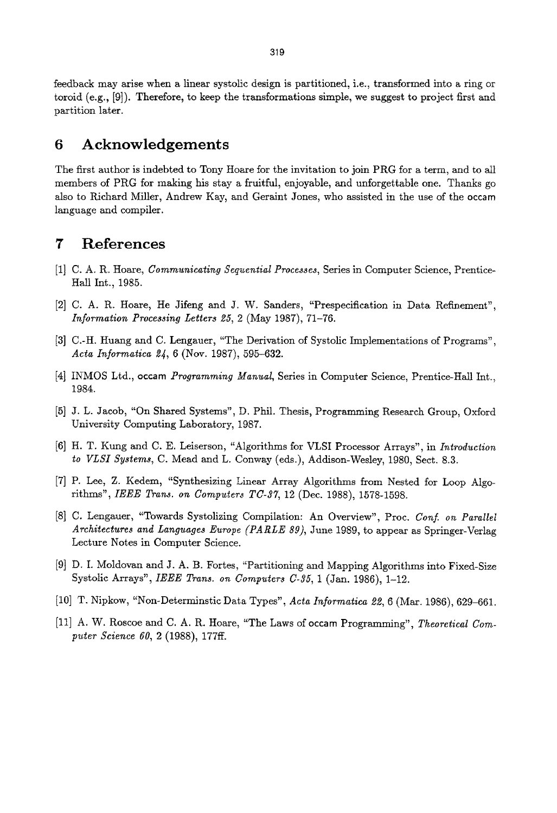feedback may arise when a linear systolic design is partitioned, i.e., transformed into a ring or toroid (e.g., [9]). Therefore, to keep the transformations simple, we suggest to project first and partition later.

## **6 Acknowledgements**

The first author is indebted to Tony Hoare for the invitation to join PRG for a term, and to all members of PRG for making his stay a fruitful, enjoyable, and unforgettable one. Thanks go also to Richard Miller, Andrew Kay, and Geraint Jones, who assisted in the use of the occam language and compiler.

## **7 References**

- [1] C. A. R. Hoare, *Communicating Sequential Processes,* Series in Computer Science, Prentice-Hall Int., 1985.
- [2] C. A. R. Hoare, He Jifeng and J. W. Sanders, "Prespecification in Data Refinement", *Information Processing Letters 25, 2* (May 1987), 71-76.
- [3] C.-H. Huang and C. Lengauer, "The Derivation of Systolic Implementations of Programs", Acta Informatica 24, 6 (Nov. 1987), 595-632.
- [4] INMOS Ltd., occam *Programming Manual,* Series in Computer Science, Prentice-Hall Int., 1984.
- [5] J. L. Jacob, "On Shared Systems", D. Phil. Thesis, Programming Research Group, Oxford University Computing Laboratory, 1987.
- [6] H. T. Kung and C. E. Leiserson, "Algorithms for VLSI Processor Arrays", in *Introduction to VLSI Systems,* C. Mead and L. Conway (eds.), Addison-Wesley, 1980, Sect. 8.3.
- [7] P. Lee, Z. Kedem, "Synthesizing Linear Array Algorithms from Nested for Loop Algorithms", *IEEE Trans. on Computers TC-37,* 12 (Dec. 1988), 1578-1598.
- [8] C. Lengauer, "Towards Systolizing Compilation: An Overview", Proc. *Conf. on Parallel Architectures and Languages Europe (PARLE 89),* June 1989, to appear as Springer-Verlag Lecture Notes in Computer Science.
- [9] D. I. Moldovan and J. A. B. Fortes, "Partitioning and Mapping Algorithms into Fixed-Size Systolic Arrays", *IEEE Trans. on Computers C-35,* 1 (Jan. 1986), 1-12.
- [10] T. Nipkow, "Non-Determinstic Data Types", *Acts Informatica* 22, 6 (Mar. 1986), 629-661.
- [11] A. W. Roscoe and C. A. R. Hoare, "The Laws of occam Programming", *Theoretical Computer Science 60,* 2 (1988), 177ff.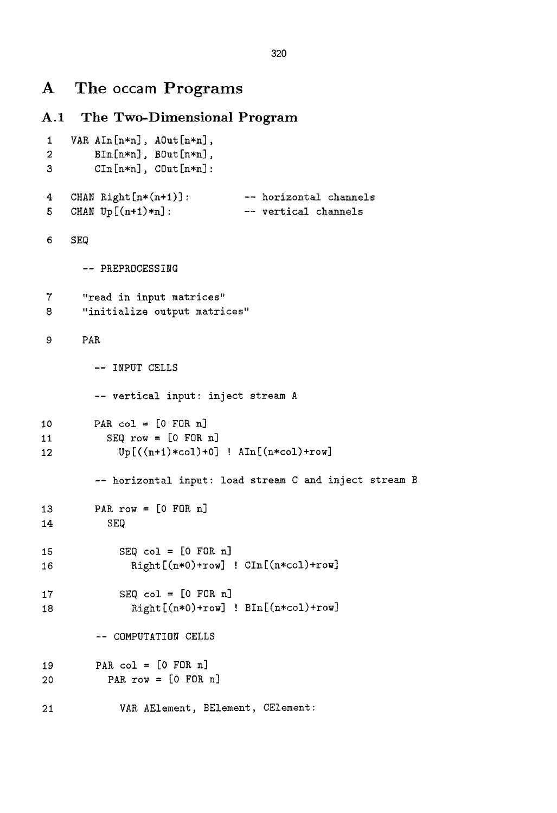# **A** The occam Programs

```
10 
11 
12 
A.1 The Two-Dimensional Program 
1 VAR AIn[n*n], AOut[n*n],
 2 BIn[n*n], BOut[n*n],3 CIn[n*n], COut[n*n]:4 CHAN Right[n*(n+1)]:
 5 CHAN Up[(n+1)*n]:
6 SEQ 
       -- PREPKOCESSING 
7 "read in input matrices" 
8 "initialize output matrices" 
9 PAR 
        -- INPUT CELLS 
         -- vertical input: inject stream A 
        PAR col = [0 FOR n]
           SEQ row = [0 FOR n]
13 
14 
15 
16 
17 
18 
19 
20 
21 
                                 -- horizontal channels 
                                  -- vertical channels 
             Up[((n+l)*col)+O] ! Aln[(n*col)+row] 
         -- horizontal input: load stream C and inject stream B 
         PAR row = [0 FOR n]
           SEQ 
             SEQ col = [0 FOR n]Kight[(n*O)+row] ! CIn[(n*col)+row] 
             SEQ col = [0 FOR n]Right[(n*0)+row] ! Bin[(n*col)+row]-- COMPUTATION CELLS 
         PAR col = [0 FOR n]
           PAR row = [0 FOR n]
             VAR AElement, BElement, CElement:
```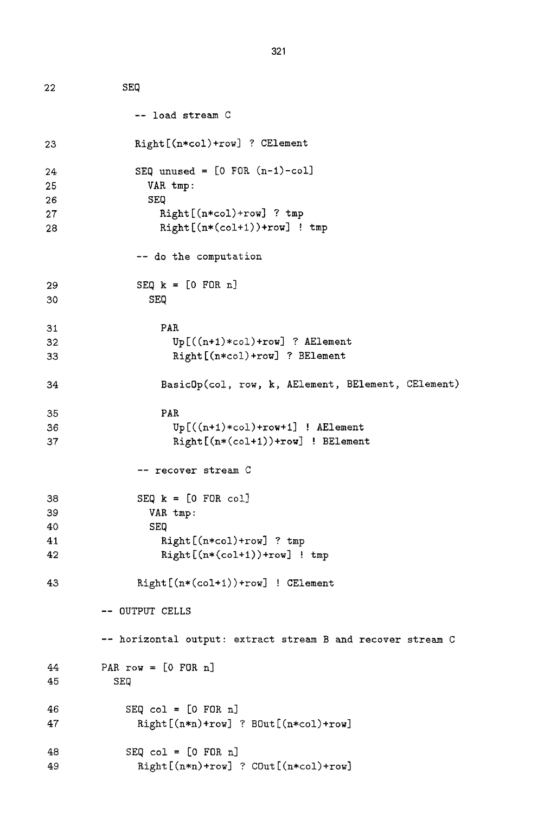```
22 
23 
24 
25 
26 
27 
28 
29 
30 
31 
32 
33 
34 
35 
36 
37 
38 
39 
40 
41 
42 
43 
44 
45 
46 
47 
48 
49 
              SEQ 
                -- load stream C 
                Right[(n*col)+row] ? CElement 
                SEQ unused = [0 FOR (n-1)-col]
                   VAR tmp: 
                   SEQ 
                     Right[(n*col)+row] ? tmp 
                     Right[(n*(col+l))+row] ! tmp 
                 -- do the computation 
                 SEQ k = [0 FOR n]SEQ 
                     PAR 
                       Up[((n+l)*col)+row] 7 AElement 
                       Right[(n*co!)+row] ? BElement 
                     Basic0p(col, row, k, AElement, BElement, CElement) 
                     PAR 
                       Up[((n+l)*col)+row+l] ! AElement 
                       Right[(n*(co!+l))+row] ! BElement 
                 -- recover stream C 
                 SEQ k = [0 FOR col]
                   VAR tmp: 
                   SEQ 
                     Right[(n*col)+row] ? tmp 
                     Kight[(n*(col+l))+row] ! tmp 
                 Kight[(n*(col+l))+row] ! CElement 
          -- OUTPUT CELLS 
          -- horizontal output: extract stream B and recover stream C 
          PAR row = [0 FOR n]
            SEQ 
               SEQ col = [0 FOR n]Right[(n*n)+row] ? BOut[(n*col)+row] 
               SEQ col = [0 FOR n]Right[(n*n)+row] ? COut[(n*col)+row]
```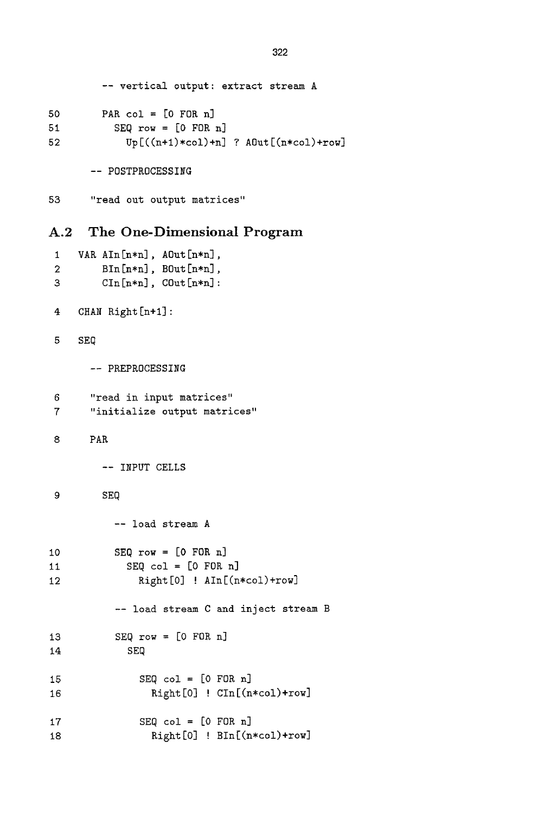```
-- vertical output: extract stream A 
50 PAR col = [0 FOR n]
51 SEQ row = [0 FOR n] 
52 \qquad \qquad \text{Up}[(n+1)*\text{col}+n] ? \text{AOut}[(n*\text{col})+\text{row}]
```
-- POSTPROCESSING

53 "read out output matrices"

## A.2 The One-Dimensional Program

```
1 VAR AIn[n*n], AOut[n*n],
2 BIn[n*n], BOut[n*n],3 CIn[n*n], COut[n*n]:
4 CHAN Right [n+l] : 
5 SEQ 
     -- PREPROCESSING 
6 "read in input matrices" 
7 "initialize output matrices" 
8 PAR 
       -- INPUT CELLS 
9 SEQ 
         -- load stream A 
10 SEQ row = [0 FOR n] 
II SEQ col = [0 FOR n] 
12 Right[0] ! AIn[(n*col)+row]
         -- load stream C and inject stream B 
13 SEQ row = [0 F0R n] 
14 SEQ 
15 SEQ col = [0 FOR n] 
16 Right [0] ! CIn[(n~col)+row] 
17 SEQ col = [0 FOR n] 
18 Right [0] ! BIn [(n*col) + row]
```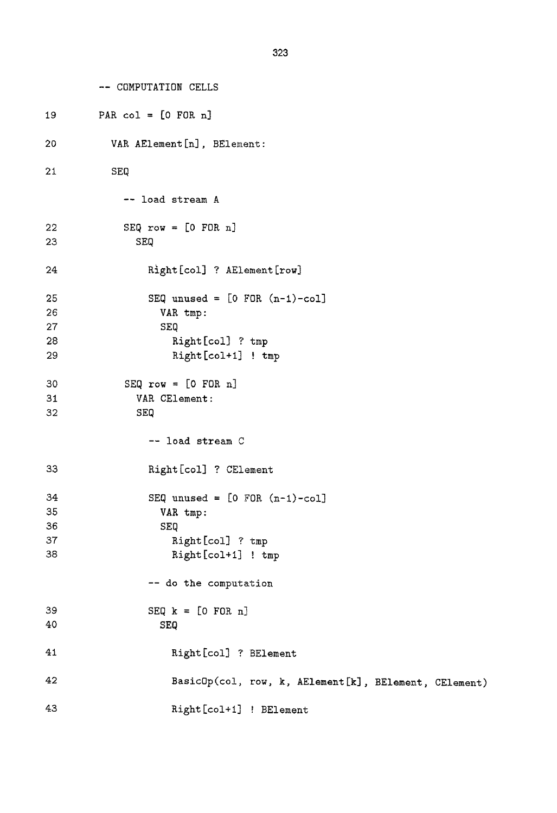```
-- COMPUTATION CELLS
```

```
19 
2O 
21 
22 
23 
24 
25 
26 
27 
28 
29 
3O 
31 
32 
33 
34 
35 
36 
37 
38 
39 
4O 
41 
42 
43 
          PAR col = [0 FOR n]
            VAK AElement [n] , BEiement : 
            SEQ 
               -- load stream A 
               SEQ row = [0 FOR n]
                 SEQ 
                   Right [col] ? AElement [row]
                   SEQ unused = [0 FOR (n-1)-col]VAK tmp : 
                      SEQ 
                        Kight[col] ? tmp 
                        Right [col+1] ! tmp
               SEQ row = [0 FOR n]
                 YAK CElement : 
                 SEQ 
                   -- load stream C 
                   Right [col] ? CElement
                   SEQ unused = [0 FOR (n-1)-col]YAK tmp : 
                      SEQ 
                        Right [col] ? tmp
                        Right [col+1] ! tmp
                   -- do the computation 
                   SEQ k = [0 FOR n]SEQ 
                        Kight [col] ? BElement 
                        BasicGp(co!, row, k, AElement[k] , BElement, CElement) 
                        Kight [col+l] ! BElement
```